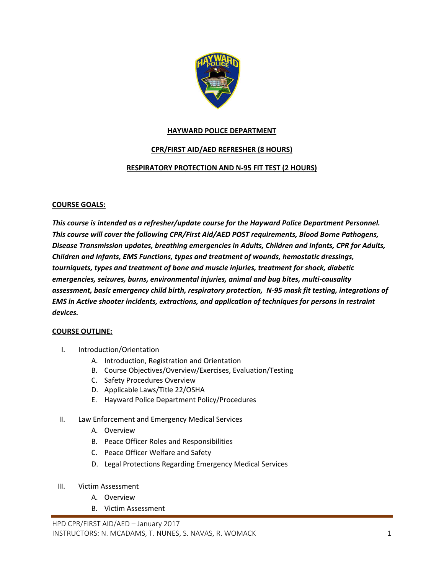

## **HAYWARD POLICE DEPARTMENT**

# **CPR/FIRST AID/AED REFRESHER (8 HOURS)**

### **RESPIRATORY PROTECTION AND N-95 FIT TEST (2 HOURS)**

### **COURSE GOALS:**

*This course is intended as a refresher/update course for the Hayward Police Department Personnel. This course will cover the following CPR/First Aid/AED POST requirements, Blood Borne Pathogens, Disease Transmission updates, breathing emergencies in Adults, Children and Infants, CPR for Adults, Children and Infants, EMS Functions, types and treatment of wounds, hemostatic dressings, tourniquets, types and treatment of bone and muscle injuries, treatment for shock, diabetic emergencies, seizures, burns, environmental injuries, animal and bug bites, multi-causality assessment, basic emergency child birth, respiratory protection, N-95 mask fit testing, integrations of EMS in Active shooter incidents, extractions, and application of techniques for persons in restraint devices.* 

#### **COURSE OUTLINE:**

- I. Introduction/Orientation
	- A. Introduction, Registration and Orientation
	- B. Course Objectives/Overview/Exercises, Evaluation/Testing
	- C. Safety Procedures Overview
	- D. Applicable Laws/Title 22/OSHA
	- E. Hayward Police Department Policy/Procedures
- II. Law Enforcement and Emergency Medical Services
	- A. Overview
	- B. Peace Officer Roles and Responsibilities
	- C. Peace Officer Welfare and Safety
	- D. Legal Protections Regarding Emergency Medical Services
- III. Victim Assessment
	- A. Overview
	- B. Victim Assessment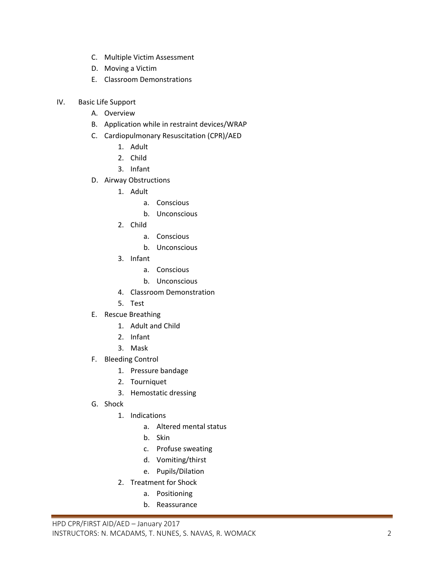- C. Multiple Victim Assessment
- D. Moving a Victim
- E. Classroom Demonstrations
- IV. Basic Life Support
	- A. Overview
	- B. Application while in restraint devices/WRAP
	- C. Cardiopulmonary Resuscitation (CPR)/AED
		- 1. Adult
		- 2. Child
		- 3. Infant
	- D. Airway Obstructions
		- 1. Adult
			- a. Conscious
			- b. Unconscious
		- 2. Child
			- a. Conscious
			- b. Unconscious
		- 3. Infant
			- a. Conscious
			- b. Unconscious
		- 4. Classroom Demonstration
		- 5. Test
	- E. Rescue Breathing
		- 1. Adult and Child
		- 2. Infant
		- 3. Mask
	- F. Bleeding Control
		- 1. Pressure bandage
		- 2. Tourniquet
		- 3. Hemostatic dressing
	- G. Shock
		- 1. Indications
			- a. Altered mental status
			- b. Skin
			- c. Profuse sweating
			- d. Vomiting/thirst
			- e. Pupils/Dilation
		- 2. Treatment for Shock
			- a. Positioning
			- b. Reassurance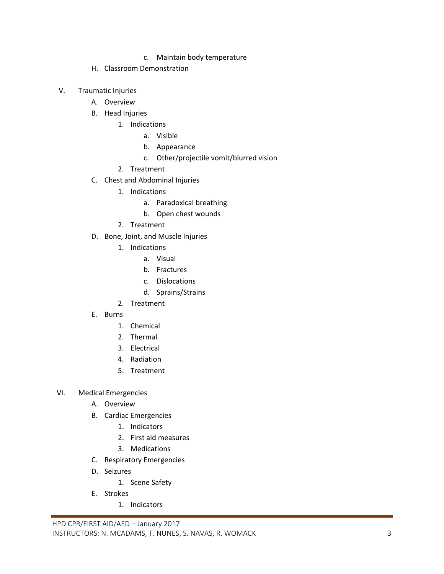- c. Maintain body temperature
- H. Classroom Demonstration
- V. Traumatic Injuries
	- A. Overview
	- B. Head Injuries
		- 1. Indications
			- a. Visible
			- b. Appearance
			- c. Other/projectile vomit/blurred vision
		- 2. Treatment
	- C. Chest and Abdominal Injuries
		- 1. Indications
			- a. Paradoxical breathing
			- b. Open chest wounds
		- 2. Treatment
	- D. Bone, Joint, and Muscle Injuries
		- 1. Indications
			- a. Visual
			- b. Fractures
			- c. Dislocations
			- d. Sprains/Strains
		- 2. Treatment
	- E. Burns
		- 1. Chemical
		- 2. Thermal
		- 3. Electrical
		- 4. Radiation
		- 5. Treatment
- VI. Medical Emergencies
	- A. Overview
	- B. Cardiac Emergencies
		- 1. Indicators
		- 2. First aid measures
		- 3. Medications
	- C. Respiratory Emergencies
	- D. Seizures
		- 1. Scene Safety
	- E. Strokes
		- 1. Indicators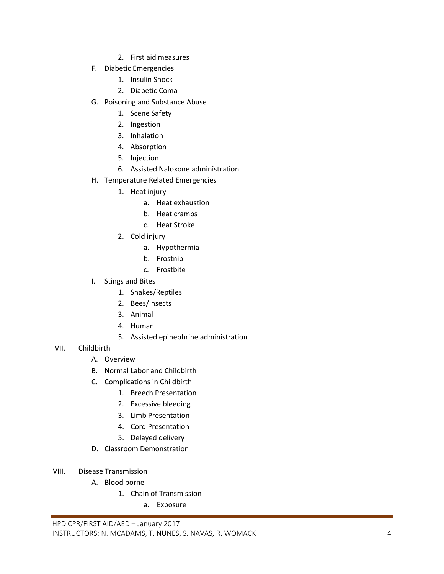- 2. First aid measures
- F. Diabetic Emergencies
	- 1. Insulin Shock
	- 2. Diabetic Coma
- G. Poisoning and Substance Abuse
	- 1. Scene Safety
	- 2. Ingestion
	- 3. Inhalation
	- 4. Absorption
	- 5. Injection
	- 6. Assisted Naloxone administration
- H. Temperature Related Emergencies
	- 1. Heat injury
		- a. Heat exhaustion
		- b. Heat cramps
		- c. Heat Stroke
	- 2. Cold injury
		- a. Hypothermia
		- b. Frostnip
		- c. Frostbite
- I. Stings and Bites
	- 1. Snakes/Reptiles
	- 2. Bees/Insects
	- 3. Animal
	- 4. Human
	- 5. Assisted epinephrine administration
- VII. Childbirth
	- A. Overview
	- B. Normal Labor and Childbirth
	- C. Complications in Childbirth
		- 1. Breech Presentation
		- 2. Excessive bleeding
		- 3. Limb Presentation
		- 4. Cord Presentation
		- 5. Delayed delivery
	- D. Classroom Demonstration
- VIII. Disease Transmission
	- A. Blood borne
		- 1. Chain of Transmission
			- a. Exposure